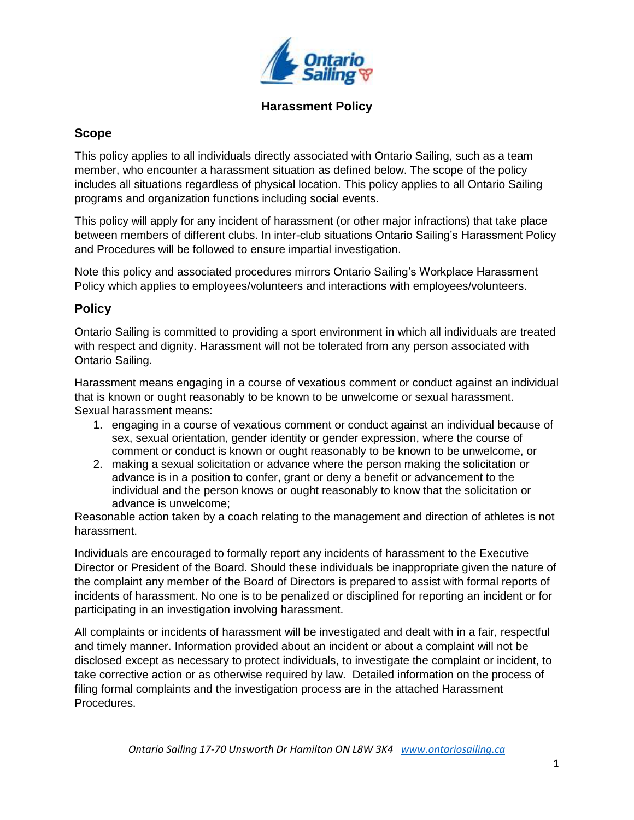

## **Scope**

This policy applies to all individuals directly associated with Ontario Sailing, such as a team member, who encounter a harassment situation as defined below. The scope of the policy includes all situations regardless of physical location. This policy applies to all Ontario Sailing programs and organization functions including social events.

This policy will apply for any incident of harassment (or other major infractions) that take place between members of different clubs. In inter-club situations Ontario Sailing's Harassment Policy and Procedures will be followed to ensure impartial investigation.

Note this policy and associated procedures mirrors Ontario Sailing's Workplace Harassment Policy which applies to employees/volunteers and interactions with employees/volunteers.

## **Policy**

Ontario Sailing is committed to providing a sport environment in which all individuals are treated with respect and dignity. Harassment will not be tolerated from any person associated with Ontario Sailing.

Harassment means engaging in a course of vexatious comment or conduct against an individual that is known or ought reasonably to be known to be unwelcome or sexual harassment. Sexual harassment means:

- 1. engaging in a course of vexatious comment or conduct against an individual because of sex, sexual orientation, gender identity or gender expression, where the course of comment or conduct is known or ought reasonably to be known to be unwelcome, or
- 2. making a sexual solicitation or advance where the person making the solicitation or advance is in a position to confer, grant or deny a benefit or advancement to the individual and the person knows or ought reasonably to know that the solicitation or advance is unwelcome;

Reasonable action taken by a coach relating to the management and direction of athletes is not harassment.

Individuals are encouraged to formally report any incidents of harassment to the Executive Director or President of the Board. Should these individuals be inappropriate given the nature of the complaint any member of the Board of Directors is prepared to assist with formal reports of incidents of harassment. No one is to be penalized or disciplined for reporting an incident or for participating in an investigation involving harassment.

All complaints or incidents of harassment will be investigated and dealt with in a fair, respectful and timely manner. Information provided about an incident or about a complaint will not be disclosed except as necessary to protect individuals, to investigate the complaint or incident, to take corrective action or as otherwise required by law. Detailed information on the process of filing formal complaints and the investigation process are in the attached Harassment Procedures.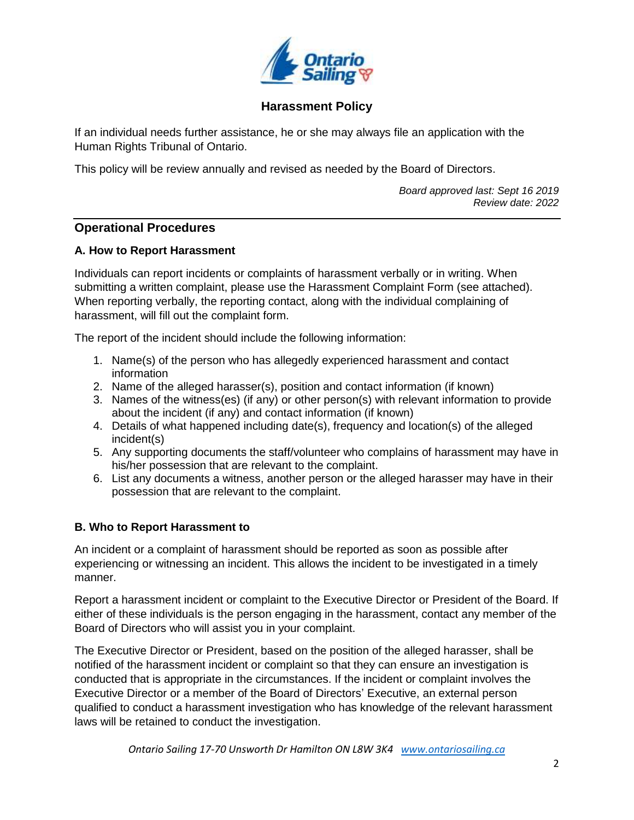

If an individual needs further assistance, he or she may always file an application with the Human Rights Tribunal of Ontario.

This policy will be review annually and revised as needed by the Board of Directors.

*Board approved last: Sept 16 2019 Review date: 2022*

## **Operational Procedures**

### **A. How to Report Harassment**

Individuals can report incidents or complaints of harassment verbally or in writing. When submitting a written complaint, please use the Harassment Complaint Form (see attached). When reporting verbally, the reporting contact, along with the individual complaining of harassment, will fill out the complaint form.

The report of the incident should include the following information:

- 1. Name(s) of the person who has allegedly experienced harassment and contact information
- 2. Name of the alleged harasser(s), position and contact information (if known)
- 3. Names of the witness(es) (if any) or other person(s) with relevant information to provide about the incident (if any) and contact information (if known)
- 4. Details of what happened including date(s), frequency and location(s) of the alleged incident(s)
- 5. Any supporting documents the staff/volunteer who complains of harassment may have in his/her possession that are relevant to the complaint.
- 6. List any documents a witness, another person or the alleged harasser may have in their possession that are relevant to the complaint.

## **B. Who to Report Harassment to**

An incident or a complaint of harassment should be reported as soon as possible after experiencing or witnessing an incident. This allows the incident to be investigated in a timely manner.

Report a harassment incident or complaint to the Executive Director or President of the Board. If either of these individuals is the person engaging in the harassment, contact any member of the Board of Directors who will assist you in your complaint.

The Executive Director or President, based on the position of the alleged harasser, shall be notified of the harassment incident or complaint so that they can ensure an investigation is conducted that is appropriate in the circumstances. If the incident or complaint involves the Executive Director or a member of the Board of Directors' Executive, an external person qualified to conduct a harassment investigation who has knowledge of the relevant harassment laws will be retained to conduct the investigation.

*Ontario Sailing 17-70 Unsworth Dr Hamilton ON L8W 3K4 [www.ontariosailing.ca](http://www.ontariosailing.ca/)*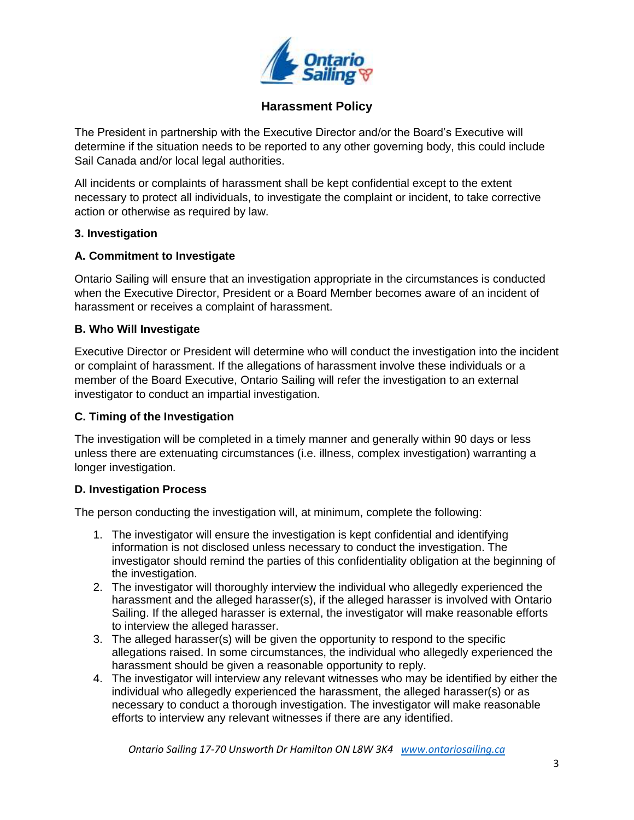

The President in partnership with the Executive Director and/or the Board's Executive will determine if the situation needs to be reported to any other governing body, this could include Sail Canada and/or local legal authorities.

All incidents or complaints of harassment shall be kept confidential except to the extent necessary to protect all individuals, to investigate the complaint or incident, to take corrective action or otherwise as required by law.

### **3. Investigation**

### **A. Commitment to Investigate**

Ontario Sailing will ensure that an investigation appropriate in the circumstances is conducted when the Executive Director, President or a Board Member becomes aware of an incident of harassment or receives a complaint of harassment.

### **B. Who Will Investigate**

Executive Director or President will determine who will conduct the investigation into the incident or complaint of harassment. If the allegations of harassment involve these individuals or a member of the Board Executive, Ontario Sailing will refer the investigation to an external investigator to conduct an impartial investigation.

#### **C. Timing of the Investigation**

The investigation will be completed in a timely manner and generally within 90 days or less unless there are extenuating circumstances (i.e. illness, complex investigation) warranting a longer investigation.

## **D. Investigation Process**

The person conducting the investigation will, at minimum, complete the following:

- 1. The investigator will ensure the investigation is kept confidential and identifying information is not disclosed unless necessary to conduct the investigation. The investigator should remind the parties of this confidentiality obligation at the beginning of the investigation.
- 2. The investigator will thoroughly interview the individual who allegedly experienced the harassment and the alleged harasser(s), if the alleged harasser is involved with Ontario Sailing. If the alleged harasser is external, the investigator will make reasonable efforts to interview the alleged harasser.
- 3. The alleged harasser(s) will be given the opportunity to respond to the specific allegations raised. In some circumstances, the individual who allegedly experienced the harassment should be given a reasonable opportunity to reply.
- 4. The investigator will interview any relevant witnesses who may be identified by either the individual who allegedly experienced the harassment, the alleged harasser(s) or as necessary to conduct a thorough investigation. The investigator will make reasonable efforts to interview any relevant witnesses if there are any identified.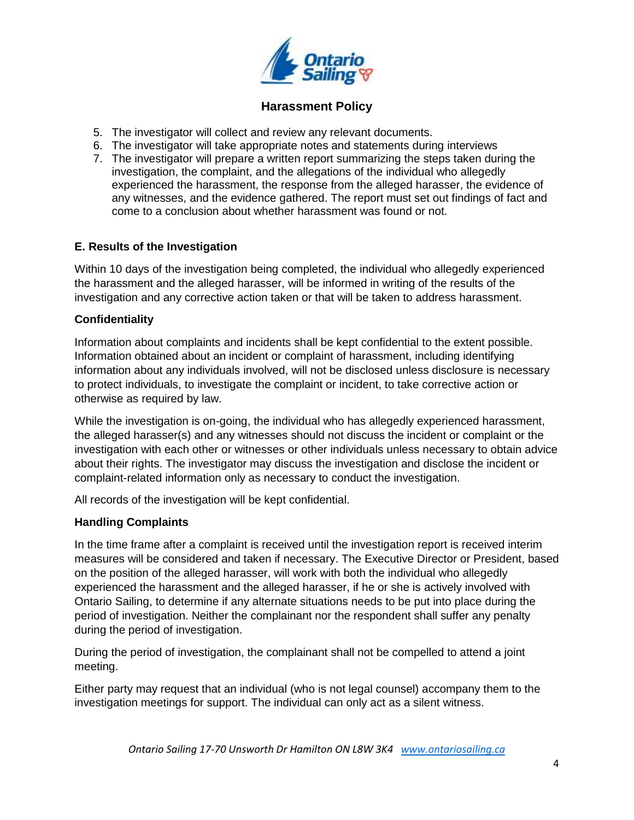

- 5. The investigator will collect and review any relevant documents.
- 6. The investigator will take appropriate notes and statements during interviews
- 7. The investigator will prepare a written report summarizing the steps taken during the investigation, the complaint, and the allegations of the individual who allegedly experienced the harassment, the response from the alleged harasser, the evidence of any witnesses, and the evidence gathered. The report must set out findings of fact and come to a conclusion about whether harassment was found or not.

#### **E. Results of the Investigation**

Within 10 days of the investigation being completed, the individual who allegedly experienced the harassment and the alleged harasser, will be informed in writing of the results of the investigation and any corrective action taken or that will be taken to address harassment.

#### **Confidentiality**

Information about complaints and incidents shall be kept confidential to the extent possible. Information obtained about an incident or complaint of harassment, including identifying information about any individuals involved, will not be disclosed unless disclosure is necessary to protect individuals, to investigate the complaint or incident, to take corrective action or otherwise as required by law.

While the investigation is on-going, the individual who has allegedly experienced harassment, the alleged harasser(s) and any witnesses should not discuss the incident or complaint or the investigation with each other or witnesses or other individuals unless necessary to obtain advice about their rights. The investigator may discuss the investigation and disclose the incident or complaint-related information only as necessary to conduct the investigation.

All records of the investigation will be kept confidential.

#### **Handling Complaints**

In the time frame after a complaint is received until the investigation report is received interim measures will be considered and taken if necessary. The Executive Director or President, based on the position of the alleged harasser, will work with both the individual who allegedly experienced the harassment and the alleged harasser, if he or she is actively involved with Ontario Sailing, to determine if any alternate situations needs to be put into place during the period of investigation. Neither the complainant nor the respondent shall suffer any penalty during the period of investigation.

During the period of investigation, the complainant shall not be compelled to attend a joint meeting.

Either party may request that an individual (who is not legal counsel) accompany them to the investigation meetings for support. The individual can only act as a silent witness.